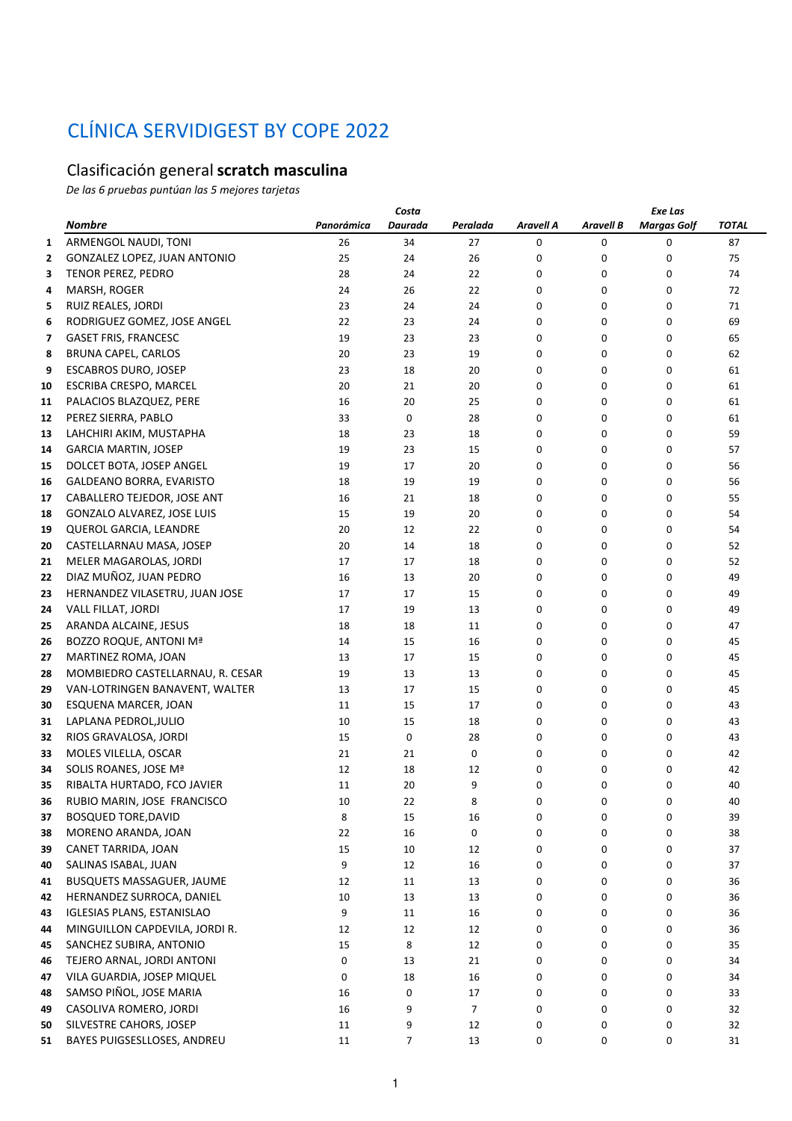## CLÍNICA SERVIDIGEST BY COPE 2022

## Clasificación general **scratch masculina**

*De las 6 pruebas puntúan las 5 mejores tarjetas*

|    |                                   | Costa      |         |          |                  |                  | Exe Las            |       |  |  |  |
|----|-----------------------------------|------------|---------|----------|------------------|------------------|--------------------|-------|--|--|--|
|    | <b>Nombre</b>                     | Panorámica | Daurada | Peralada | <b>Aravell A</b> | <b>Aravell B</b> | <b>Margas Golf</b> | TOTAL |  |  |  |
| 1  | ARMENGOL NAUDI, TONI              | 26         | 34      | 27       | 0                | 0                | 0                  | 87    |  |  |  |
| 2  | GONZALEZ LOPEZ, JUAN ANTONIO      | 25         | 24      | 26       | 0                | 0                | 0                  | 75    |  |  |  |
| 3  | TENOR PEREZ, PEDRO                | 28         | 24      | 22       | 0                | 0                | 0                  | 74    |  |  |  |
| 4  | MARSH, ROGER                      | 24         | 26      | 22       | 0                | 0                | 0                  | 72    |  |  |  |
| 5  | RUIZ REALES, JORDI                | 23         | 24      | 24       | 0                | 0                | 0                  | 71    |  |  |  |
| 6  | RODRIGUEZ GOMEZ, JOSE ANGEL       | 22         | 23      | 24       | 0                | 0                | 0                  | 69    |  |  |  |
| 7  | <b>GASET FRIS, FRANCESC</b>       | 19         | 23      | 23       | 0                | 0                | 0                  | 65    |  |  |  |
| 8  | BRUNA CAPEL, CARLOS               | 20         | 23      | 19       | 0                | 0                | 0                  | 62    |  |  |  |
| 9  | <b>ESCABROS DURO, JOSEP</b>       | 23         | 18      | 20       | 0                | 0                | 0                  | 61    |  |  |  |
| 10 | ESCRIBA CRESPO, MARCEL            | 20         | 21      | 20       | 0                | 0                | 0                  | 61    |  |  |  |
| 11 | PALACIOS BLAZQUEZ, PERE           | 16         | 20      | 25       | 0                | 0                | 0                  | 61    |  |  |  |
| 12 | PEREZ SIERRA, PABLO               | 33         | 0       | 28       | 0                | 0                | 0                  | 61    |  |  |  |
| 13 | LAHCHIRI AKIM, MUSTAPHA           | 18         | 23      | 18       | 0                | 0                | 0                  | 59    |  |  |  |
| 14 | <b>GARCIA MARTIN, JOSEP</b>       | 19         | 23      | 15       | 0                | 0                | 0                  | 57    |  |  |  |
| 15 | DOLCET BOTA, JOSEP ANGEL          | 19         | 17      | 20       | 0                | 0                | 0                  | 56    |  |  |  |
| 16 | GALDEANO BORRA, EVARISTO          | 18         | 19      | 19       | 0                | 0                | 0                  | 56    |  |  |  |
| 17 | CABALLERO TEJEDOR, JOSE ANT       | 16         | 21      | 18       | 0                | 0                | 0                  | 55    |  |  |  |
| 18 | <b>GONZALO ALVAREZ, JOSE LUIS</b> | 15         | 19      | 20       | 0                | 0                | 0                  | 54    |  |  |  |
| 19 | QUEROL GARCIA, LEANDRE            | 20         | 12      | 22       | 0                | 0                | 0                  | 54    |  |  |  |
| 20 | CASTELLARNAU MASA, JOSEP          | 20         | 14      | 18       | 0                | 0                | 0                  | 52    |  |  |  |
| 21 | MELER MAGAROLAS, JORDI            | 17         | 17      | 18       | 0                | 0                | 0                  | 52    |  |  |  |
| 22 | DIAZ MUÑOZ, JUAN PEDRO            | 16         | 13      | 20       | 0                | 0                | 0                  | 49    |  |  |  |
| 23 | HERNANDEZ VILASETRU, JUAN JOSE    | 17         | 17      | 15       | 0                | 0                | 0                  | 49    |  |  |  |
| 24 | VALL FILLAT, JORDI                | 17         | 19      | 13       | 0                | 0                | 0                  | 49    |  |  |  |
| 25 | ARANDA ALCAINE, JESUS             | 18         | 18      | 11       | 0                | 0                | 0                  | 47    |  |  |  |
| 26 | BOZZO ROQUE, ANTONI Mª            | 14         | 15      | 16       | 0                | 0                | 0                  | 45    |  |  |  |
| 27 | MARTINEZ ROMA, JOAN               | 13         | 17      | 15       | 0                | 0                | 0                  | 45    |  |  |  |
| 28 | MOMBIEDRO CASTELLARNAU, R. CESAR  | 19         | 13      | 13       | 0                | 0                | 0                  | 45    |  |  |  |
| 29 | VAN-LOTRINGEN BANAVENT, WALTER    | 13         | 17      | 15       | 0                | 0                | 0                  | 45    |  |  |  |
| 30 | ESQUENA MARCER, JOAN              | 11         | 15      | 17       | 0                | 0                | 0                  | 43    |  |  |  |
| 31 | LAPLANA PEDROL, JULIO             | 10         | 15      | 18       | 0                | 0                | 0                  | 43    |  |  |  |
| 32 | RIOS GRAVALOSA, JORDI             | 15         | 0       | 28       | 0                | 0                | 0                  | 43    |  |  |  |
| 33 | MOLES VILELLA, OSCAR              | 21         | 21      | 0        | 0                | 0                | 0                  | 42    |  |  |  |
| 34 | SOLIS ROANES, JOSE Mª             | 12         | 18      | 12       | 0                | 0                | 0                  | 42    |  |  |  |
| 35 | RIBALTA HURTADO, FCO JAVIER       | 11         | 20      | 9        | 0                | 0                | 0                  | 40    |  |  |  |
| 36 | RUBIO MARIN, JOSE FRANCISCO       | 10         | 22      | 8        | 0                | 0                | 0                  | 40    |  |  |  |
| 37 | <b>BOSQUED TORE, DAVID</b>        | 8          | 15      | 16       | 0                | 0                | 0                  | 39    |  |  |  |
| 38 | MORENO ARANDA, JOAN               | 22         | 16      | 0        | 0                | 0                | 0                  | 38    |  |  |  |
| 39 | CANET TARRIDA, JOAN               | 15         | 10      | 12       | 0                | 0                | 0                  | 37    |  |  |  |
| 40 | SALINAS ISABAL, JUAN              | 9          | 12      | 16       | 0                | 0                | 0                  | 37    |  |  |  |
| 41 | BUSQUETS MASSAGUER, JAUME         | 12         | 11      | 13       | 0                | 0                | 0                  | 36    |  |  |  |
| 42 | HERNANDEZ SURROCA, DANIEL         | 10         | 13      | 13       | 0                | 0                | 0                  | 36    |  |  |  |
| 43 | <b>IGLESIAS PLANS, ESTANISLAO</b> | 9          | 11      | 16       | 0                | 0                | 0                  | 36    |  |  |  |
| 44 | MINGUILLON CAPDEVILA, JORDI R.    | 12         | 12      | 12       | 0                | 0                | 0                  | 36    |  |  |  |
| 45 | SANCHEZ SUBIRA, ANTONIO           | 15         | 8       | 12       | 0                | 0                | 0                  | 35    |  |  |  |
| 46 | TEJERO ARNAL, JORDI ANTONI        | 0          | 13      | 21       | 0                | 0                | 0                  | 34    |  |  |  |
| 47 | VILA GUARDIA, JOSEP MIQUEL        | 0          | 18      | 16       | 0                | 0                | 0                  | 34    |  |  |  |
| 48 | SAMSO PIÑOL, JOSE MARIA           | 16         | 0       | 17       | 0                | 0                | 0                  | 33    |  |  |  |
| 49 | CASOLIVA ROMERO, JORDI            | 16         | 9       | 7        | 0                | 0                | 0                  | 32    |  |  |  |
| 50 | SILVESTRE CAHORS, JOSEP           | 11         | 9       | 12       | 0                | 0                | 0                  | 32    |  |  |  |
| 51 | BAYES PUIGSESLLOSES, ANDREU       | 11         | 7       | 13       | 0                | 0                | 0                  | 31    |  |  |  |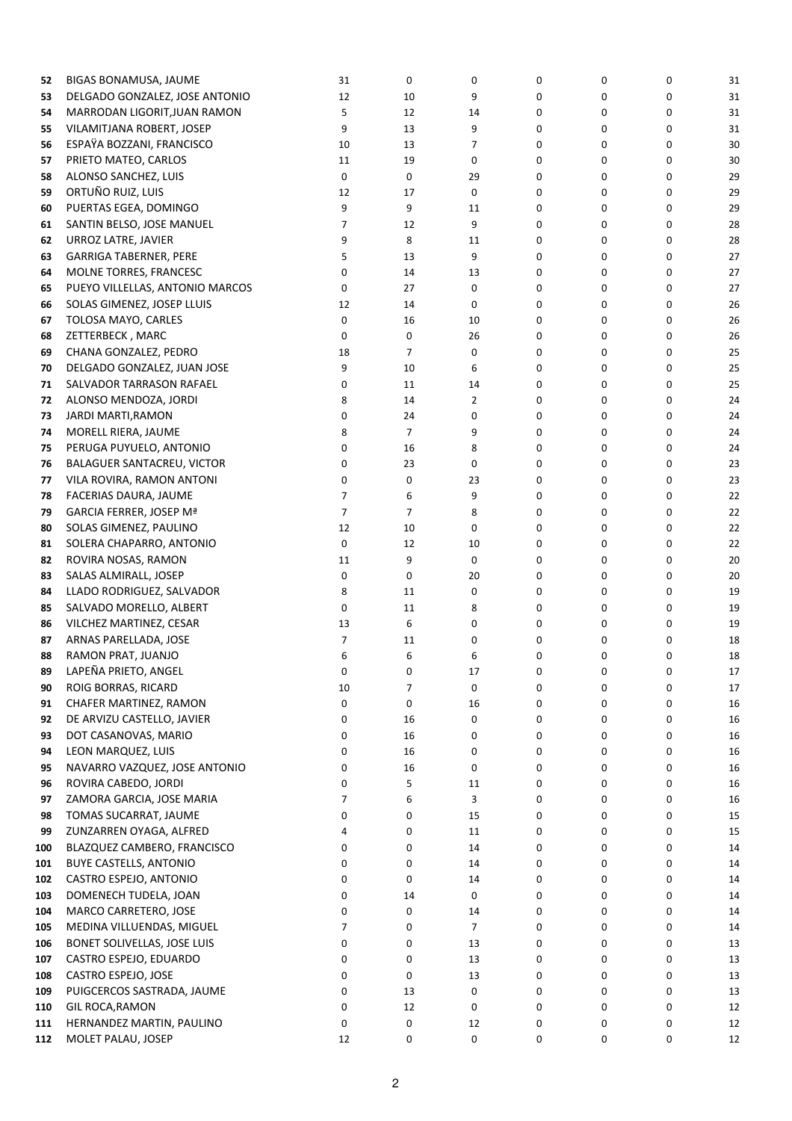| 52  | BIGAS BONAMUSA, JAUME           | 31             | 0              | 0              | 0 | 0 | $\mathbf 0$ | 31 |
|-----|---------------------------------|----------------|----------------|----------------|---|---|-------------|----|
| 53  | DELGADO GONZALEZ, JOSE ANTONIO  | 12             | 10             | 9              | 0 | 0 | 0           | 31 |
| 54  | MARRODAN LIGORIT, JUAN RAMON    | 5              | 12             | 14             | 0 | 0 | 0           | 31 |
| 55  | VILAMITJANA ROBERT, JOSEP       | 9              | 13             | 9              | 0 | 0 | 0           | 31 |
| 56  | ESPAŸA BOZZANI, FRANCISCO       | 10             | 13             | 7              | 0 | 0 | 0           | 30 |
| 57  | PRIETO MATEO, CARLOS            | 11             | 19             | 0              | 0 | 0 | 0           | 30 |
| 58  | ALONSO SANCHEZ, LUIS            | 0              | 0              | 29             | 0 | 0 | 0           | 29 |
| 59  | ORTUÑO RUIZ, LUIS               | 12             | 17             | 0              | 0 | 0 | 0           | 29 |
|     |                                 |                |                |                |   |   |             |    |
| 60  | PUERTAS EGEA, DOMINGO           | 9              | 9              | 11             | 0 | 0 | 0           | 29 |
| 61  | SANTIN BELSO, JOSE MANUEL       | 7              | 12             | 9              | 0 | 0 | 0           | 28 |
| 62  | URROZ LATRE, JAVIER             | 9              | 8              | 11             | 0 | 0 | 0           | 28 |
| 63  | <b>GARRIGA TABERNER, PERE</b>   | 5              | 13             | 9              | 0 | 0 | 0           | 27 |
| 64  | MOLNE TORRES, FRANCESC          | 0              | 14             | 13             | 0 | 0 | 0           | 27 |
| 65  | PUEYO VILLELLAS, ANTONIO MARCOS | 0              | 27             | 0              | 0 | 0 | 0           | 27 |
| 66  | SOLAS GIMENEZ, JOSEP LLUIS      | 12             | 14             | 0              | 0 | 0 | 0           | 26 |
| 67  | TOLOSA MAYO, CARLES             | 0              | 16             | 10             | 0 | 0 | 0           | 26 |
| 68  | ZETTERBECK, MARC                | 0              | 0              | 26             | 0 | 0 | 0           | 26 |
| 69  | CHANA GONZALEZ, PEDRO           | 18             | 7              | 0              | 0 | 0 | 0           | 25 |
|     | DELGADO GONZALEZ, JUAN JOSE     | 9              | 10             |                |   |   | 0           |    |
| 70  |                                 |                |                | 6              | 0 | 0 |             | 25 |
| 71  | SALVADOR TARRASON RAFAEL        | 0              | 11             | 14             | 0 | 0 | 0           | 25 |
| 72  | ALONSO MENDOZA, JORDI           | 8              | 14             | $\overline{2}$ | 0 | 0 | 0           | 24 |
| 73  | JARDI MARTI, RAMON              | 0              | 24             | 0              | 0 | 0 | 0           | 24 |
| 74  | MORELL RIERA, JAUME             | 8              | $\overline{7}$ | 9              | 0 | 0 | 0           | 24 |
| 75  | PERUGA PUYUELO, ANTONIO         | 0              | 16             | 8              | 0 | 0 | 0           | 24 |
| 76  | BALAGUER SANTACREU, VICTOR      | 0              | 23             | 0              | 0 | 0 | 0           | 23 |
| 77  | VILA ROVIRA, RAMON ANTONI       | 0              | 0              | 23             | 0 | 0 | 0           | 23 |
| 78  | FACERIAS DAURA, JAUME           | 7              | 6              | 9              | 0 | 0 | 0           | 22 |
| 79  | GARCIA FERRER, JOSEP Mª         | $\overline{7}$ | $\overline{7}$ | 8              | 0 | 0 | 0           | 22 |
|     | SOLAS GIMENEZ, PAULINO          | 12             | 10             | 0              | 0 | 0 | 0           | 22 |
| 80  |                                 |                |                |                |   |   |             |    |
| 81  | SOLERA CHAPARRO, ANTONIO        | 0              | 12             | 10             | 0 | 0 | 0           | 22 |
| 82  | ROVIRA NOSAS, RAMON             | 11             | 9              | 0              | 0 | 0 | 0           | 20 |
| 83  | SALAS ALMIRALL, JOSEP           | 0              | 0              | 20             | 0 | 0 | 0           | 20 |
| 84  | LLADO RODRIGUEZ, SALVADOR       | 8              | 11             | 0              | 0 | 0 | 0           | 19 |
| 85  | SALVADO MORELLO, ALBERT         | 0              | 11             | 8              | 0 | 0 | 0           | 19 |
| 86  | VILCHEZ MARTINEZ, CESAR         | 13             | 6              | 0              | 0 | 0 | 0           | 19 |
| 87  | ARNAS PARELLADA, JOSE           | 7              | 11             | 0              | 0 | 0 | 0           | 18 |
| 88  | RAMON PRAT, JUANJO              | 6              | 6              | 6              | 0 | 0 | 0           | 18 |
| 89  | LAPEÑA PRIETO, ANGEL            | 0              | 0              | 17             | 0 | 0 | 0           | 17 |
| 90  | ROIG BORRAS, RICARD             | 10             | $\overline{7}$ | 0              | 0 | 0 | 0           | 17 |
| 91  | CHAFER MARTINEZ, RAMON          | 0              | 0              | 16             | 0 | 0 | 0           | 16 |
|     |                                 |                |                |                |   |   |             |    |
| 92  | DE ARVIZU CASTELLO, JAVIER      | 0              | 16             | 0              | 0 | 0 | 0           | 16 |
| 93  | DOT CASANOVAS, MARIO            | 0              | 16             | 0              | 0 | 0 | 0           | 16 |
| 94  | LEON MARQUEZ, LUIS              | 0              | 16             | 0              | 0 | 0 | 0           | 16 |
| 95  | NAVARRO VAZQUEZ, JOSE ANTONIO   | 0              | 16             | 0              | 0 | 0 | 0           | 16 |
| 96  | ROVIRA CABEDO, JORDI            | 0              | 5              | 11             | 0 | 0 | 0           | 16 |
| 97  | ZAMORA GARCIA, JOSE MARIA       | 7              | 6              | 3              | 0 | 0 | 0           | 16 |
| 98  | TOMAS SUCARRAT, JAUME           | 0              | 0              | 15             | 0 | 0 | 0           | 15 |
| 99  | ZUNZARREN OYAGA, ALFRED         | 4              | 0              | 11             | 0 | 0 | 0           | 15 |
| 100 | BLAZQUEZ CAMBERO, FRANCISCO     | 0              | 0              | 14             | 0 | 0 | 0           | 14 |
| 101 | BUYE CASTELLS, ANTONIO          | 0              | 0              | 14             | 0 | 0 | 0           | 14 |
| 102 | CASTRO ESPEJO, ANTONIO          | 0              | 0              | 14             | 0 | 0 | 0           | 14 |
|     |                                 |                | 14             |                |   | 0 |             |    |
| 103 | DOMENECH TUDELA, JOAN           | 0              |                | 0              | 0 |   | 0           | 14 |
| 104 | MARCO CARRETERO, JOSE           | 0              | 0              | 14             | 0 | 0 | 0           | 14 |
| 105 | MEDINA VILLUENDAS, MIGUEL       | $\overline{7}$ | 0              | $\overline{7}$ | 0 | 0 | 0           | 14 |
| 106 | BONET SOLIVELLAS, JOSE LUIS     | 0              | 0              | 13             | 0 | 0 | 0           | 13 |
| 107 | CASTRO ESPEJO, EDUARDO          | 0              | 0              | 13             | 0 | 0 | 0           | 13 |
| 108 | CASTRO ESPEJO, JOSE             | 0              | 0              | 13             | 0 | 0 | 0           | 13 |
| 109 | PUIGCERCOS SASTRADA, JAUME      | 0              | 13             | 0              | 0 | 0 | 0           | 13 |
| 110 | GIL ROCA, RAMON                 | 0              | 12             | 0              | 0 | 0 | 0           | 12 |
| 111 | HERNANDEZ MARTIN, PAULINO       | 0              | 0              | 12             | 0 | 0 | 0           | 12 |
| 112 | MOLET PALAU, JOSEP              | 12             | 0              | 0              | 0 | 0 | 0           | 12 |
|     |                                 |                |                |                |   |   |             |    |